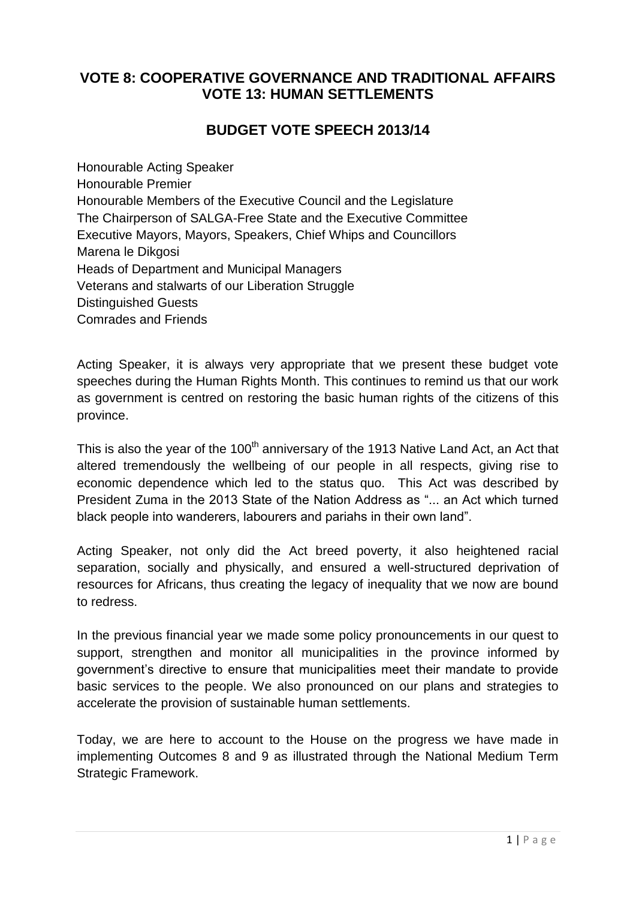#### **VOTE 8: COOPERATIVE GOVERNANCE AND TRADITIONAL AFFAIRS VOTE 13: HUMAN SETTLEMENTS**

#### **BUDGET VOTE SPEECH 2013/14**

Honourable Acting Speaker Honourable Premier Honourable Members of the Executive Council and the Legislature The Chairperson of SALGA-Free State and the Executive Committee Executive Mayors, Mayors, Speakers, Chief Whips and Councillors Marena le Dikgosi Heads of Department and Municipal Managers Veterans and stalwarts of our Liberation Struggle Distinguished Guests Comrades and Friends

Acting Speaker, it is always very appropriate that we present these budget vote speeches during the Human Rights Month. This continues to remind us that our work as government is centred on restoring the basic human rights of the citizens of this province.

This is also the year of the 100<sup>th</sup> anniversary of the 1913 Native Land Act, an Act that altered tremendously the wellbeing of our people in all respects, giving rise to economic dependence which led to the status quo. This Act was described by President Zuma in the 2013 State of the Nation Address as "... an Act which turned black people into wanderers, labourers and pariahs in their own land".

Acting Speaker, not only did the Act breed poverty, it also heightened racial separation, socially and physically, and ensured a well-structured deprivation of resources for Africans, thus creating the legacy of inequality that we now are bound to redress.

In the previous financial year we made some policy pronouncements in our quest to support, strengthen and monitor all municipalities in the province informed by government"s directive to ensure that municipalities meet their mandate to provide basic services to the people. We also pronounced on our plans and strategies to accelerate the provision of sustainable human settlements.

Today, we are here to account to the House on the progress we have made in implementing Outcomes 8 and 9 as illustrated through the National Medium Term Strategic Framework.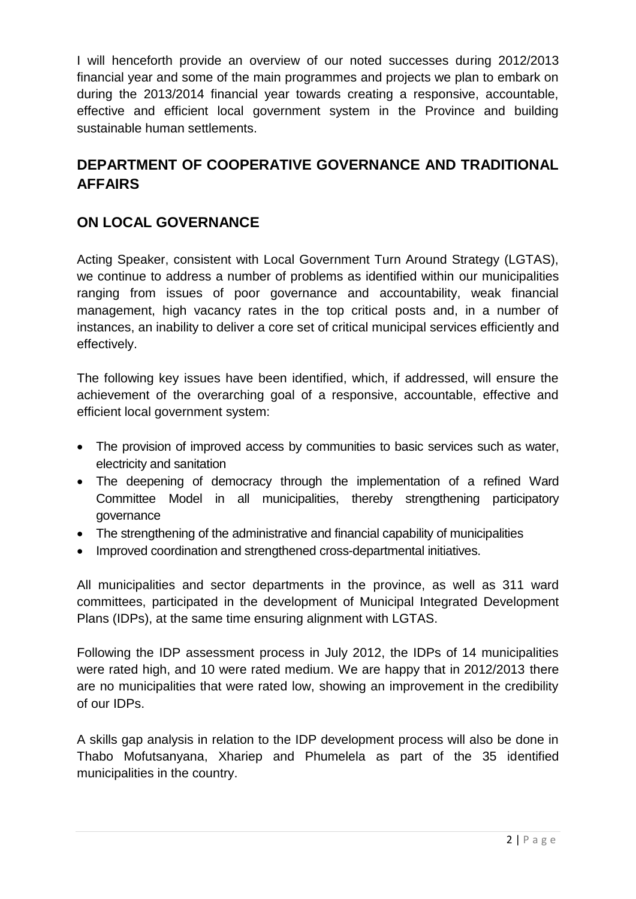I will henceforth provide an overview of our noted successes during 2012/2013 financial year and some of the main programmes and projects we plan to embark on during the 2013/2014 financial year towards creating a responsive, accountable, effective and efficient local government system in the Province and building sustainable human settlements.

### **DEPARTMENT OF COOPERATIVE GOVERNANCE AND TRADITIONAL AFFAIRS**

#### **ON LOCAL GOVERNANCE**

Acting Speaker, consistent with Local Government Turn Around Strategy (LGTAS), we continue to address a number of problems as identified within our municipalities ranging from issues of poor governance and accountability, weak financial management, high vacancy rates in the top critical posts and, in a number of instances, an inability to deliver a core set of critical municipal services efficiently and effectively.

The following key issues have been identified, which, if addressed, will ensure the achievement of the overarching goal of a responsive, accountable, effective and efficient local government system:

- The provision of improved access by communities to basic services such as water, electricity and sanitation
- The deepening of democracy through the implementation of a refined Ward Committee Model in all municipalities, thereby strengthening participatory governance
- The strengthening of the administrative and financial capability of municipalities
- Improved coordination and strengthened cross-departmental initiatives.

All municipalities and sector departments in the province, as well as 311 ward committees, participated in the development of Municipal Integrated Development Plans (IDPs), at the same time ensuring alignment with LGTAS.

Following the IDP assessment process in July 2012, the IDPs of 14 municipalities were rated high, and 10 were rated medium. We are happy that in 2012/2013 there are no municipalities that were rated low, showing an improvement in the credibility of our IDPs.

A skills gap analysis in relation to the IDP development process will also be done in Thabo Mofutsanyana, Xhariep and Phumelela as part of the 35 identified municipalities in the country.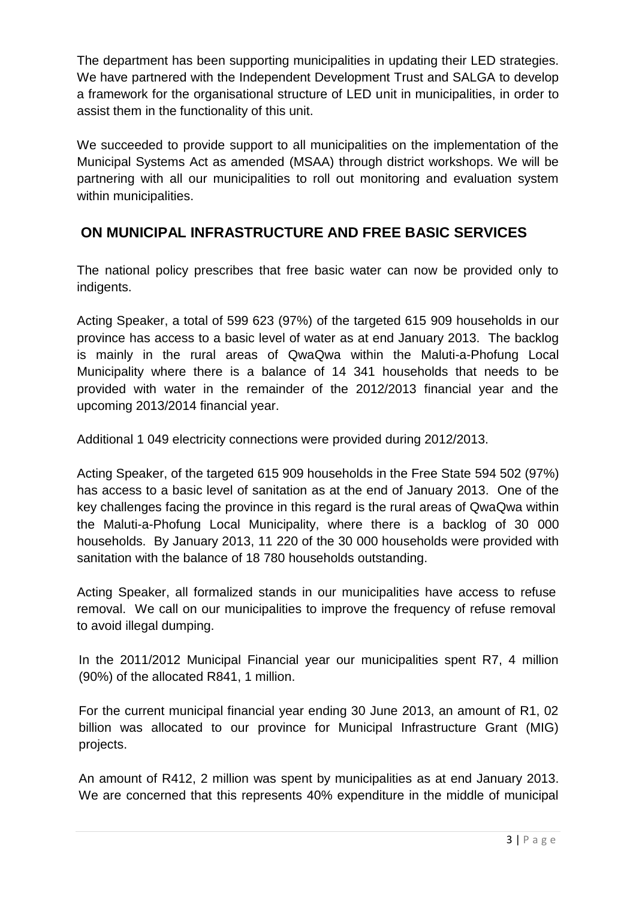The department has been supporting municipalities in updating their LED strategies. We have partnered with the Independent Development Trust and SALGA to develop a framework for the organisational structure of LED unit in municipalities, in order to assist them in the functionality of this unit.

We succeeded to provide support to all municipalities on the implementation of the Municipal Systems Act as amended (MSAA) through district workshops. We will be partnering with all our municipalities to roll out monitoring and evaluation system within municipalities.

#### **ON MUNICIPAL INFRASTRUCTURE AND FREE BASIC SERVICES**

The national policy prescribes that free basic water can now be provided only to indigents.

Acting Speaker, a total of 599 623 (97%) of the targeted 615 909 households in our province has access to a basic level of water as at end January 2013. The backlog is mainly in the rural areas of QwaQwa within the Maluti-a-Phofung Local Municipality where there is a balance of 14 341 households that needs to be provided with water in the remainder of the 2012/2013 financial year and the upcoming 2013/2014 financial year.

Additional 1 049 electricity connections were provided during 2012/2013.

Acting Speaker, of the targeted 615 909 households in the Free State 594 502 (97%) has access to a basic level of sanitation as at the end of January 2013. One of the key challenges facing the province in this regard is the rural areas of QwaQwa within the Maluti-a-Phofung Local Municipality, where there is a backlog of 30 000 households. By January 2013, 11 220 of the 30 000 households were provided with sanitation with the balance of 18 780 households outstanding.

Acting Speaker, all formalized stands in our municipalities have access to refuse removal. We call on our municipalities to improve the frequency of refuse removal to avoid illegal dumping.

In the 2011/2012 Municipal Financial year our municipalities spent R7, 4 million (90%) of the allocated R841, 1 million.

For the current municipal financial year ending 30 June 2013, an amount of R1, 02 billion was allocated to our province for Municipal Infrastructure Grant (MIG) projects.

An amount of R412, 2 million was spent by municipalities as at end January 2013. We are concerned that this represents 40% expenditure in the middle of municipal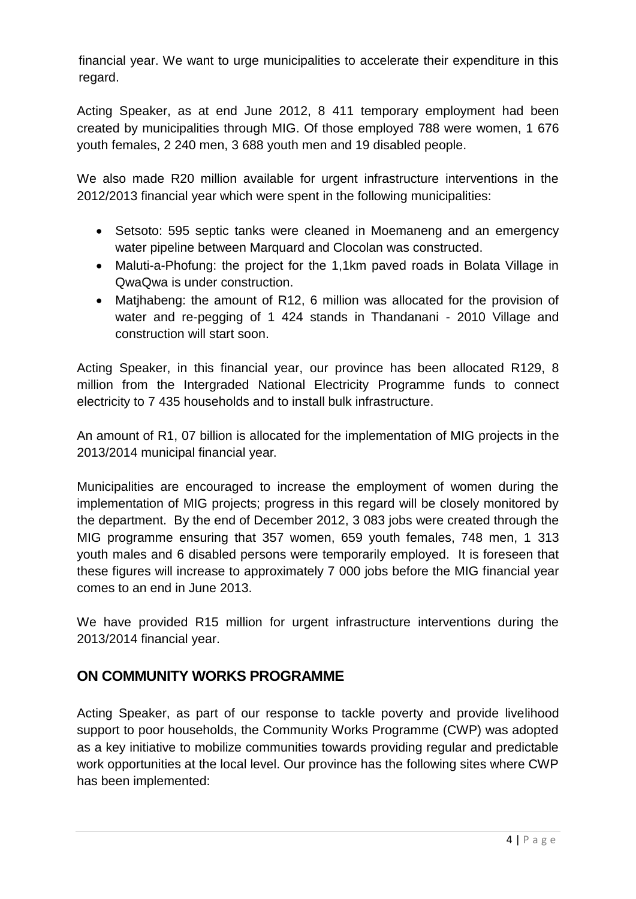financial year. We want to urge municipalities to accelerate their expenditure in this regard.

Acting Speaker, as at end June 2012, 8 411 temporary employment had been created by municipalities through MIG. Of those employed 788 were women, 1 676 youth females, 2 240 men, 3 688 youth men and 19 disabled people.

We also made R20 million available for urgent infrastructure interventions in the 2012/2013 financial year which were spent in the following municipalities:

- Setsoto: 595 septic tanks were cleaned in Moemaneng and an emergency water pipeline between Marquard and Clocolan was constructed.
- Maluti-a-Phofung: the project for the 1,1km paved roads in Bolata Village in QwaQwa is under construction.
- Matihabeng: the amount of R12, 6 million was allocated for the provision of water and re-pegging of 1 424 stands in Thandanani - 2010 Village and construction will start soon.

Acting Speaker, in this financial year, our province has been allocated R129, 8 million from the Intergraded National Electricity Programme funds to connect electricity to 7 435 households and to install bulk infrastructure.

An amount of R1, 07 billion is allocated for the implementation of MIG projects in the 2013/2014 municipal financial year.

Municipalities are encouraged to increase the employment of women during the implementation of MIG projects; progress in this regard will be closely monitored by the department. By the end of December 2012, 3 083 jobs were created through the MIG programme ensuring that 357 women, 659 youth females, 748 men, 1 313 youth males and 6 disabled persons were temporarily employed. It is foreseen that these figures will increase to approximately 7 000 jobs before the MIG financial year comes to an end in June 2013.

We have provided R15 million for urgent infrastructure interventions during the 2013/2014 financial year.

#### **ON COMMUNITY WORKS PROGRAMME**

Acting Speaker, as part of our response to tackle poverty and provide livelihood support to poor households, the Community Works Programme (CWP) was adopted as a key initiative to mobilize communities towards providing regular and predictable work opportunities at the local level. Our province has the following sites where CWP has been implemented: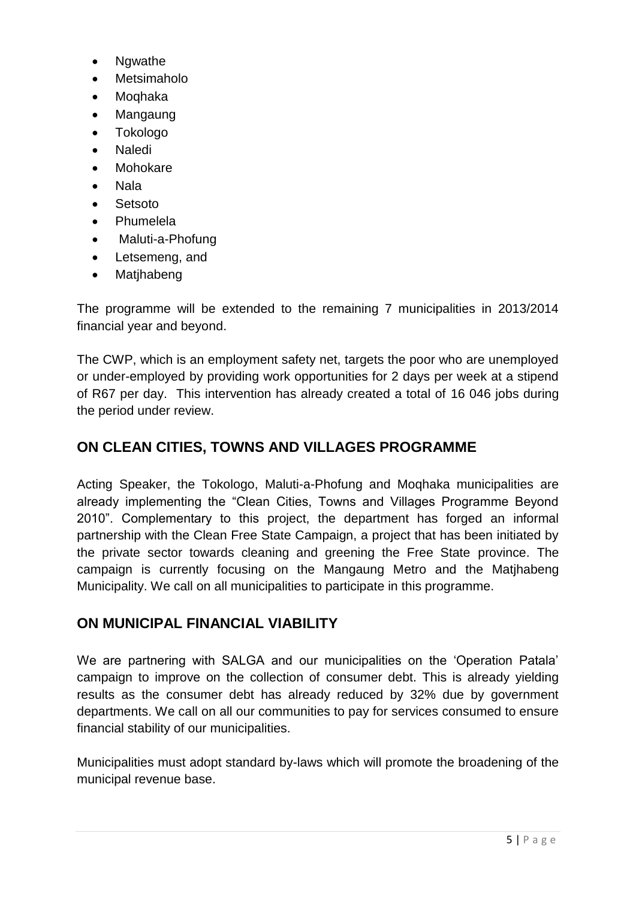- Ngwathe
- Metsimaholo
- Moqhaka
- Mangaung
- Tokologo
- Naledi
- Mohokare
- Nala
- Setsoto
- Phumelela
- Maluti-a-Phofung
- Letsemeng, and
- Matihabeng

The programme will be extended to the remaining 7 municipalities in 2013/2014 financial year and beyond.

The CWP, which is an employment safety net, targets the poor who are unemployed or under-employed by providing work opportunities for 2 days per week at a stipend of R67 per day. This intervention has already created a total of 16 046 jobs during the period under review.

#### **ON CLEAN CITIES, TOWNS AND VILLAGES PROGRAMME**

Acting Speaker, the Tokologo, Maluti-a-Phofung and Moqhaka municipalities are already implementing the "Clean Cities, Towns and Villages Programme Beyond 2010". Complementary to this project, the department has forged an informal partnership with the Clean Free State Campaign, a project that has been initiated by the private sector towards cleaning and greening the Free State province. The campaign is currently focusing on the Mangaung Metro and the Matjhabeng Municipality. We call on all municipalities to participate in this programme.

#### **ON MUNICIPAL FINANCIAL VIABILITY**

We are partnering with SALGA and our municipalities on the "Operation Patala" campaign to improve on the collection of consumer debt. This is already yielding results as the consumer debt has already reduced by 32% due by government departments. We call on all our communities to pay for services consumed to ensure financial stability of our municipalities.

Municipalities must adopt standard by-laws which will promote the broadening of the municipal revenue base.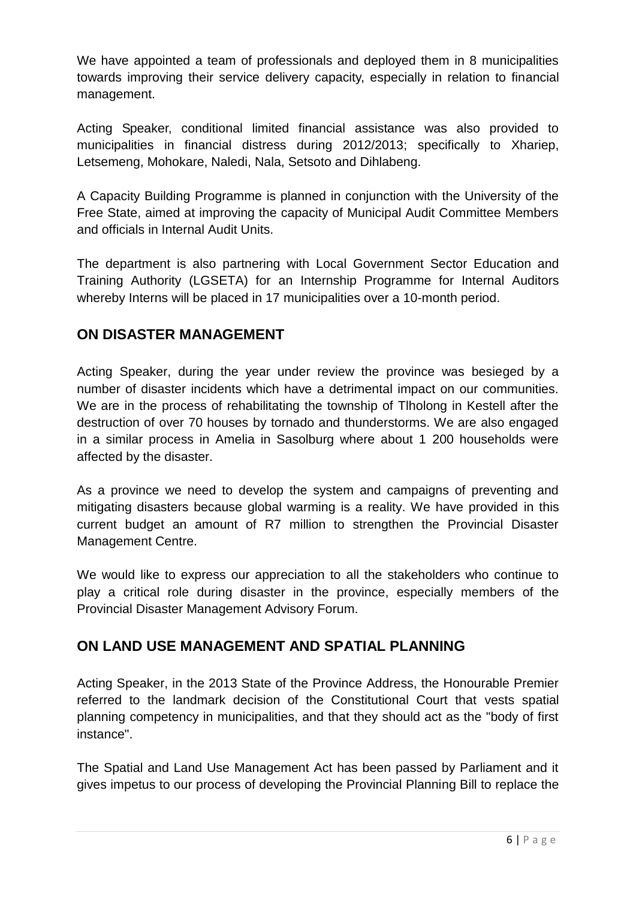We have appointed a team of professionals and deployed them in 8 municipalities towards improving their service delivery capacity, especially in relation to financial management.

Acting Speaker, conditional limited financial assistance was also provided to municipalities in financial distress during 2012/2013; specifically to Xhariep, Letsemeng, Mohokare, Naledi, Nala, Setsoto and Dihlabeng.

A Capacity Building Programme is planned in conjunction with the University of the Free State, aimed at improving the capacity of Municipal Audit Committee Members and officials in Internal Audit Units.

The department is also partnering with Local Government Sector Education and Training Authority (LGSETA) for an Internship Programme for Internal Auditors whereby Interns will be placed in 17 municipalities over a 10-month period.

#### **ON DISASTER MANAGEMENT**

Acting Speaker, during the year under review the province was besieged by a number of disaster incidents which have a detrimental impact on our communities. We are in the process of rehabilitating the township of Tlholong in Kestell after the destruction of over 70 houses by tornado and thunderstorms. We are also engaged in a similar process in Amelia in Sasolburg where about 1 200 households were affected by the disaster.

As a province we need to develop the system and campaigns of preventing and mitigating disasters because global warming is a reality. We have provided in this current budget an amount of R7 million to strengthen the Provincial Disaster Management Centre.

We would like to express our appreciation to all the stakeholders who continue to play a critical role during disaster in the province, especially members of the Provincial Disaster Management Advisory Forum.

#### **ON LAND USE MANAGEMENT AND SPATIAL PLANNING**

Acting Speaker, in the 2013 State of the Province Address, the Honourable Premier referred to the landmark decision of the Constitutional Court that vests spatial planning competency in municipalities, and that they should act as the "body of first instance".

The Spatial and Land Use Management Act has been passed by Parliament and it gives impetus to our process of developing the Provincial Planning Bill to replace the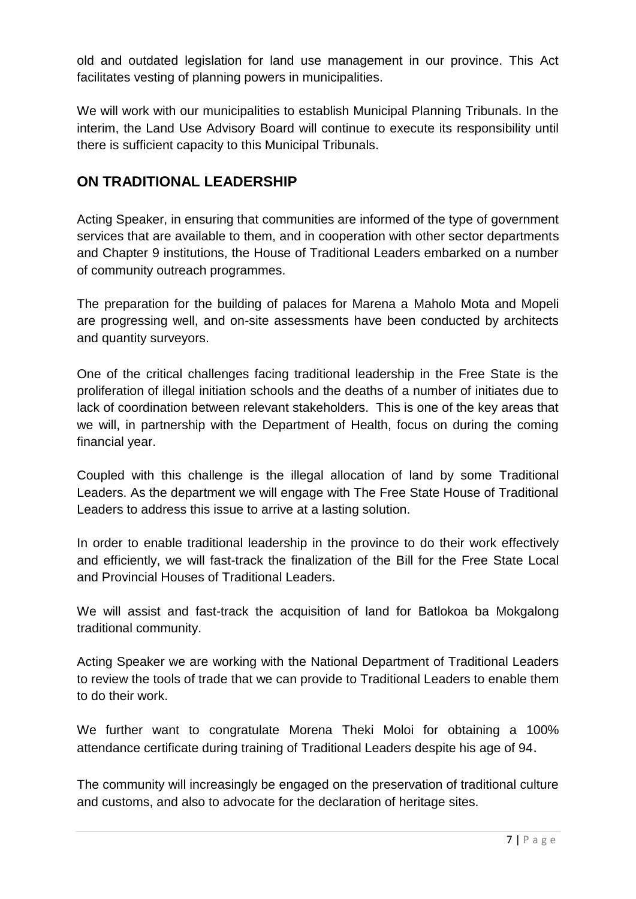old and outdated legislation for land use management in our province. This Act facilitates vesting of planning powers in municipalities.

We will work with our municipalities to establish Municipal Planning Tribunals. In the interim, the Land Use Advisory Board will continue to execute its responsibility until there is sufficient capacity to this Municipal Tribunals.

#### **ON TRADITIONAL LEADERSHIP**

Acting Speaker, in ensuring that communities are informed of the type of government services that are available to them, and in cooperation with other sector departments and Chapter 9 institutions, the House of Traditional Leaders embarked on a number of community outreach programmes.

The preparation for the building of palaces for Marena a Maholo Mota and Mopeli are progressing well, and on-site assessments have been conducted by architects and quantity surveyors.

One of the critical challenges facing traditional leadership in the Free State is the proliferation of illegal initiation schools and the deaths of a number of initiates due to lack of coordination between relevant stakeholders. This is one of the key areas that we will, in partnership with the Department of Health, focus on during the coming financial year.

Coupled with this challenge is the illegal allocation of land by some Traditional Leaders. As the department we will engage with The Free State House of Traditional Leaders to address this issue to arrive at a lasting solution.

In order to enable traditional leadership in the province to do their work effectively and efficiently, we will fast-track the finalization of the Bill for the Free State Local and Provincial Houses of Traditional Leaders.

We will assist and fast-track the acquisition of land for Batlokoa ba Mokgalong traditional community.

Acting Speaker we are working with the National Department of Traditional Leaders to review the tools of trade that we can provide to Traditional Leaders to enable them to do their work.

We further want to congratulate Morena Theki Moloi for obtaining a 100% attendance certificate during training of Traditional Leaders despite his age of 94.

The community will increasingly be engaged on the preservation of traditional culture and customs, and also to advocate for the declaration of heritage sites.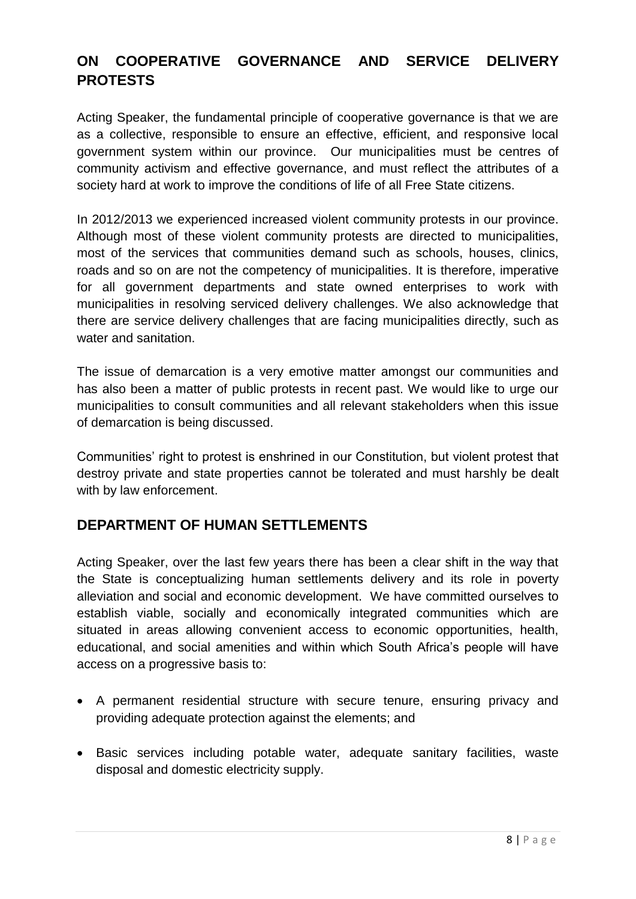### **ON COOPERATIVE GOVERNANCE AND SERVICE DELIVERY PROTESTS**

Acting Speaker, the fundamental principle of cooperative governance is that we are as a collective, responsible to ensure an effective, efficient, and responsive local government system within our province. Our municipalities must be centres of community activism and effective governance, and must reflect the attributes of a society hard at work to improve the conditions of life of all Free State citizens.

In 2012/2013 we experienced increased violent community protests in our province. Although most of these violent community protests are directed to municipalities, most of the services that communities demand such as schools, houses, clinics, roads and so on are not the competency of municipalities. It is therefore, imperative for all government departments and state owned enterprises to work with municipalities in resolving serviced delivery challenges. We also acknowledge that there are service delivery challenges that are facing municipalities directly, such as water and sanitation.

The issue of demarcation is a very emotive matter amongst our communities and has also been a matter of public protests in recent past. We would like to urge our municipalities to consult communities and all relevant stakeholders when this issue of demarcation is being discussed.

Communities" right to protest is enshrined in our Constitution, but violent protest that destroy private and state properties cannot be tolerated and must harshly be dealt with by law enforcement.

#### **DEPARTMENT OF HUMAN SETTLEMENTS**

Acting Speaker, over the last few years there has been a clear shift in the way that the State is conceptualizing human settlements delivery and its role in poverty alleviation and social and economic development. We have committed ourselves to establish viable, socially and economically integrated communities which are situated in areas allowing convenient access to economic opportunities, health, educational, and social amenities and within which South Africa"s people will have access on a progressive basis to:

- A permanent residential structure with secure tenure, ensuring privacy and providing adequate protection against the elements; and
- Basic services including potable water, adequate sanitary facilities, waste disposal and domestic electricity supply.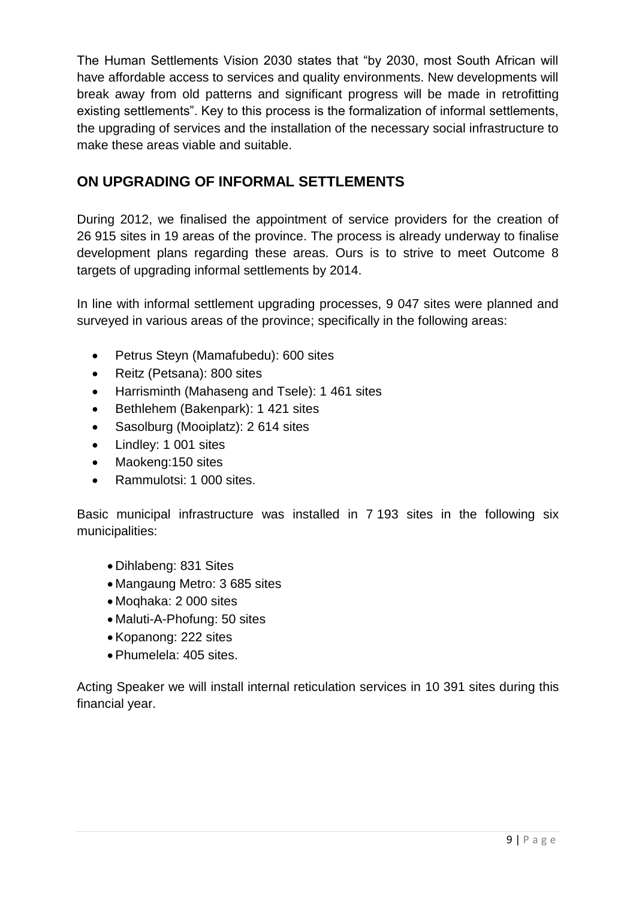The Human Settlements Vision 2030 states that "by 2030, most South African will have affordable access to services and quality environments. New developments will break away from old patterns and significant progress will be made in retrofitting existing settlements". Key to this process is the formalization of informal settlements, the upgrading of services and the installation of the necessary social infrastructure to make these areas viable and suitable.

#### **ON UPGRADING OF INFORMAL SETTLEMENTS**

During 2012, we finalised the appointment of service providers for the creation of 26 915 sites in 19 areas of the province. The process is already underway to finalise development plans regarding these areas. Ours is to strive to meet Outcome 8 targets of upgrading informal settlements by 2014.

In line with informal settlement upgrading processes, 9 047 sites were planned and surveyed in various areas of the province; specifically in the following areas:

- Petrus Steyn (Mamafubedu): 600 sites
- Reitz (Petsana): 800 sites
- Harrisminth (Mahaseng and Tsele): 1 461 sites
- Bethlehem (Bakenpark): 1 421 sites
- Sasolburg (Mooiplatz): 2 614 sites
- Lindley: 1 001 sites
- Maokeng:150 sites
- Rammulotsi: 1 000 sites.

Basic municipal infrastructure was installed in 7 193 sites in the following six municipalities:

- Dihlabeng: 831 Sites
- Mangaung Metro: 3 685 sites
- Moqhaka: 2 000 sites
- Maluti-A-Phofung: 50 sites
- Kopanong: 222 sites
- Phumelela: 405 sites.

Acting Speaker we will install internal reticulation services in 10 391 sites during this financial year.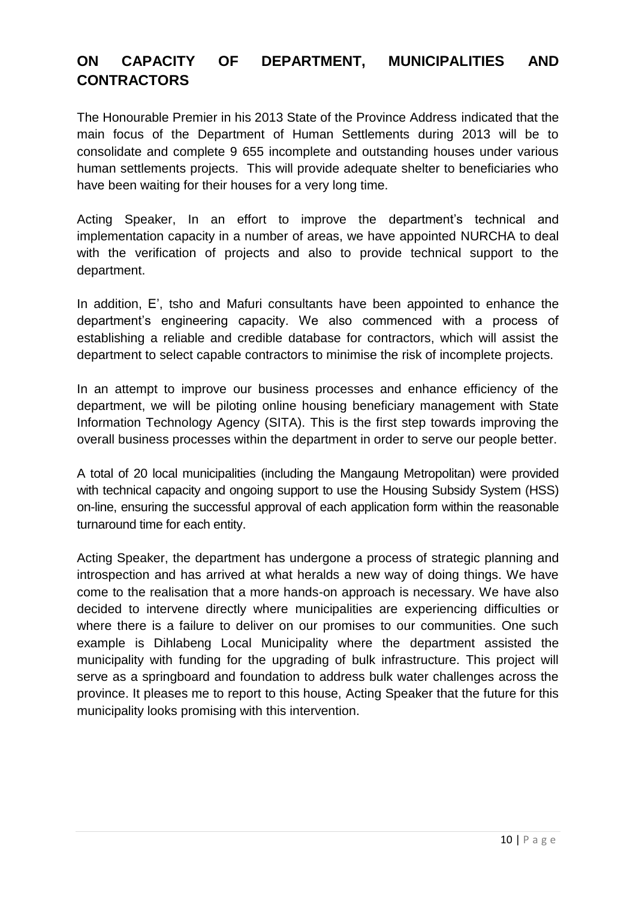#### **ON CAPACITY OF DEPARTMENT, MUNICIPALITIES AND CONTRACTORS**

The Honourable Premier in his 2013 State of the Province Address indicated that the main focus of the Department of Human Settlements during 2013 will be to consolidate and complete 9 655 incomplete and outstanding houses under various human settlements projects. This will provide adequate shelter to beneficiaries who have been waiting for their houses for a very long time.

Acting Speaker, In an effort to improve the department's technical and implementation capacity in a number of areas, we have appointed NURCHA to deal with the verification of projects and also to provide technical support to the department.

In addition, E', tsho and Mafuri consultants have been appointed to enhance the department"s engineering capacity. We also commenced with a process of establishing a reliable and credible database for contractors, which will assist the department to select capable contractors to minimise the risk of incomplete projects.

In an attempt to improve our business processes and enhance efficiency of the department, we will be piloting online housing beneficiary management with State Information Technology Agency (SITA). This is the first step towards improving the overall business processes within the department in order to serve our people better.

A total of 20 local municipalities (including the Mangaung Metropolitan) were provided with technical capacity and ongoing support to use the Housing Subsidy System (HSS) on-line, ensuring the successful approval of each application form within the reasonable turnaround time for each entity.

Acting Speaker, the department has undergone a process of strategic planning and introspection and has arrived at what heralds a new way of doing things. We have come to the realisation that a more hands-on approach is necessary. We have also decided to intervene directly where municipalities are experiencing difficulties or where there is a failure to deliver on our promises to our communities. One such example is Dihlabeng Local Municipality where the department assisted the municipality with funding for the upgrading of bulk infrastructure. This project will serve as a springboard and foundation to address bulk water challenges across the province. It pleases me to report to this house, Acting Speaker that the future for this municipality looks promising with this intervention.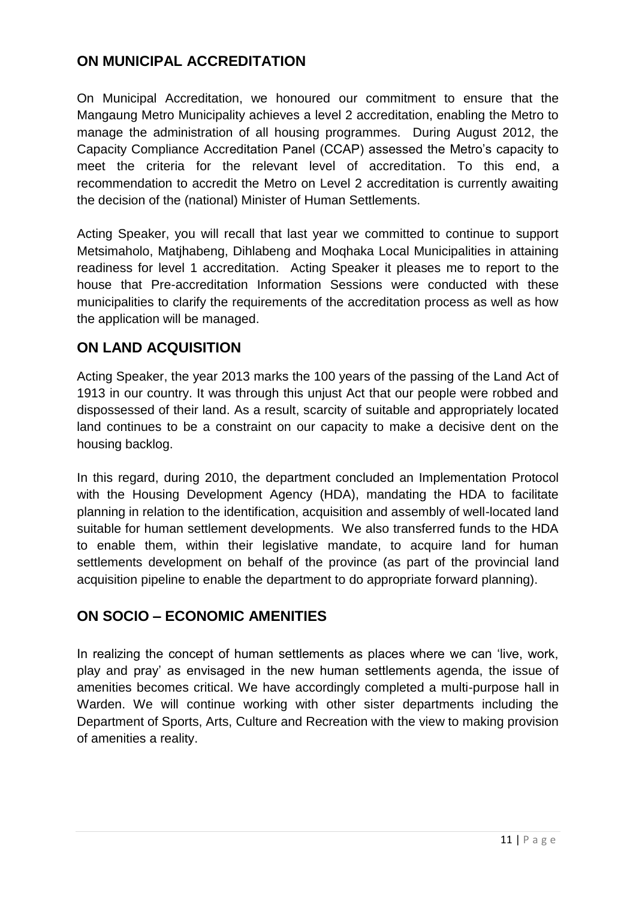#### **ON MUNICIPAL ACCREDITATION**

On Municipal Accreditation, we honoured our commitment to ensure that the Mangaung Metro Municipality achieves a level 2 accreditation, enabling the Metro to manage the administration of all housing programmes. During August 2012, the Capacity Compliance Accreditation Panel (CCAP) assessed the Metro"s capacity to meet the criteria for the relevant level of accreditation. To this end, a recommendation to accredit the Metro on Level 2 accreditation is currently awaiting the decision of the (national) Minister of Human Settlements.

Acting Speaker, you will recall that last year we committed to continue to support Metsimaholo, Matjhabeng, Dihlabeng and Moqhaka Local Municipalities in attaining readiness for level 1 accreditation. Acting Speaker it pleases me to report to the house that Pre-accreditation Information Sessions were conducted with these municipalities to clarify the requirements of the accreditation process as well as how the application will be managed.

#### **ON LAND ACQUISITION**

Acting Speaker, the year 2013 marks the 100 years of the passing of the Land Act of 1913 in our country. It was through this unjust Act that our people were robbed and dispossessed of their land. As a result, scarcity of suitable and appropriately located land continues to be a constraint on our capacity to make a decisive dent on the housing backlog.

In this regard, during 2010, the department concluded an Implementation Protocol with the Housing Development Agency (HDA), mandating the HDA to facilitate planning in relation to the identification, acquisition and assembly of well-located land suitable for human settlement developments. We also transferred funds to the HDA to enable them, within their legislative mandate, to acquire land for human settlements development on behalf of the province (as part of the provincial land acquisition pipeline to enable the department to do appropriate forward planning).

#### **ON SOCIO – ECONOMIC AMENITIES**

In realizing the concept of human settlements as places where we can "live, work, play and pray" as envisaged in the new human settlements agenda, the issue of amenities becomes critical. We have accordingly completed a multi-purpose hall in Warden. We will continue working with other sister departments including the Department of Sports, Arts, Culture and Recreation with the view to making provision of amenities a reality.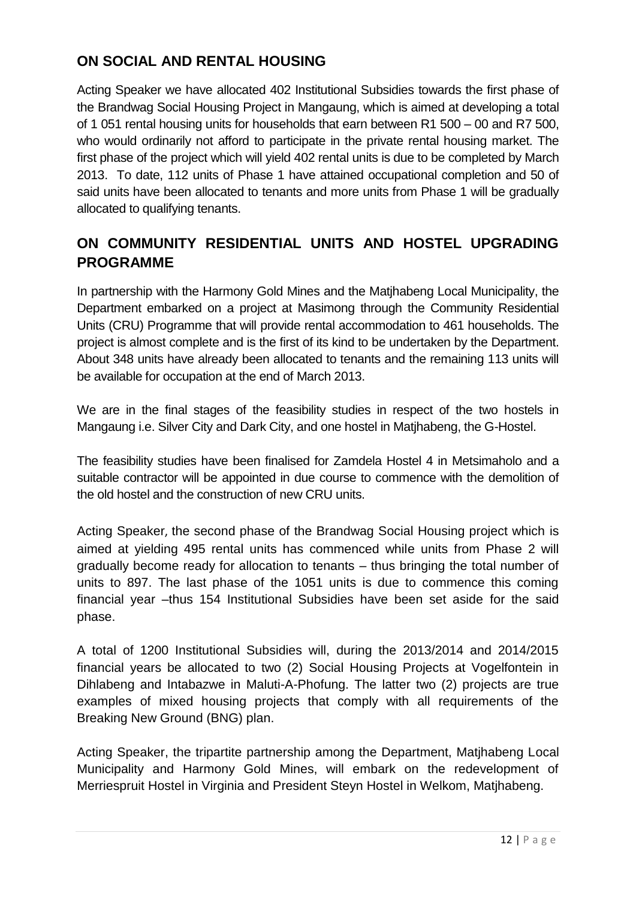#### **ON SOCIAL AND RENTAL HOUSING**

Acting Speaker we have allocated 402 Institutional Subsidies towards the first phase of the Brandwag Social Housing Project in Mangaung, which is aimed at developing a total of 1 051 rental housing units for households that earn between R1 500 – 00 and R7 500, who would ordinarily not afford to participate in the private rental housing market. The first phase of the project which will yield 402 rental units is due to be completed by March 2013. To date, 112 units of Phase 1 have attained occupational completion and 50 of said units have been allocated to tenants and more units from Phase 1 will be gradually allocated to qualifying tenants.

### **ON COMMUNITY RESIDENTIAL UNITS AND HOSTEL UPGRADING PROGRAMME**

In partnership with the Harmony Gold Mines and the Matjhabeng Local Municipality, the Department embarked on a project at Masimong through the Community Residential Units (CRU) Programme that will provide rental accommodation to 461 households. The project is almost complete and is the first of its kind to be undertaken by the Department. About 348 units have already been allocated to tenants and the remaining 113 units will be available for occupation at the end of March 2013.

We are in the final stages of the feasibility studies in respect of the two hostels in Mangaung i.e. Silver City and Dark City, and one hostel in Matjhabeng, the G-Hostel.

The feasibility studies have been finalised for Zamdela Hostel 4 in Metsimaholo and a suitable contractor will be appointed in due course to commence with the demolition of the old hostel and the construction of new CRU units.

Acting Speaker, the second phase of the Brandwag Social Housing project which is aimed at yielding 495 rental units has commenced while units from Phase 2 will gradually become ready for allocation to tenants – thus bringing the total number of units to 897. The last phase of the 1051 units is due to commence this coming financial year –thus 154 Institutional Subsidies have been set aside for the said phase.

A total of 1200 Institutional Subsidies will, during the 2013/2014 and 2014/2015 financial years be allocated to two (2) Social Housing Projects at Vogelfontein in Dihlabeng and Intabazwe in Maluti-A-Phofung. The latter two (2) projects are true examples of mixed housing projects that comply with all requirements of the Breaking New Ground (BNG) plan.

Acting Speaker, the tripartite partnership among the Department, Matjhabeng Local Municipality and Harmony Gold Mines, will embark on the redevelopment of Merriespruit Hostel in Virginia and President Steyn Hostel in Welkom, Matjhabeng.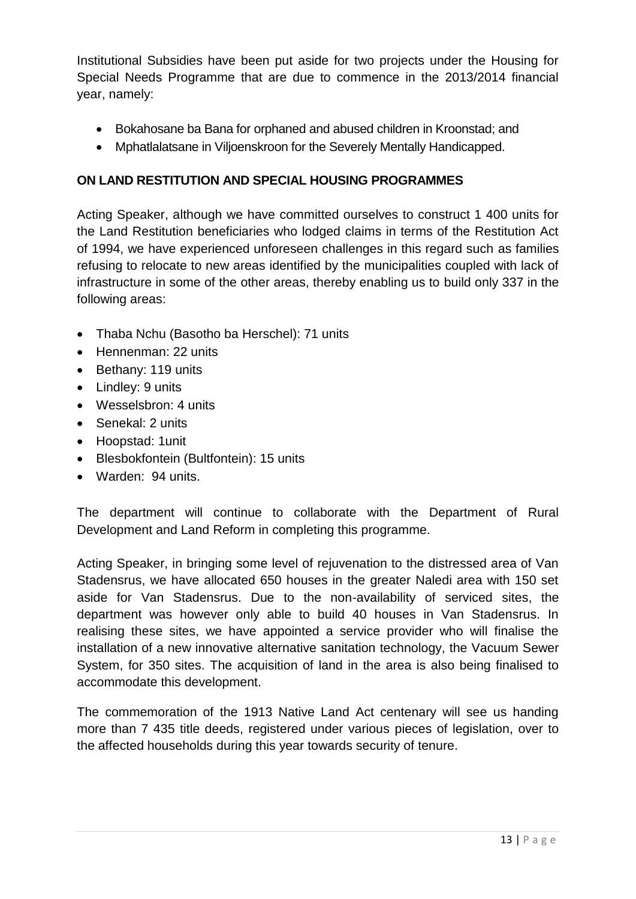Institutional Subsidies have been put aside for two projects under the Housing for Special Needs Programme that are due to commence in the 2013/2014 financial year, namely:

- Bokahosane ba Bana for orphaned and abused children in Kroonstad; and
- Mphatlalatsane in Viljoenskroon for the Severely Mentally Handicapped.

#### **ON LAND RESTITUTION AND SPECIAL HOUSING PROGRAMMES**

Acting Speaker, although we have committed ourselves to construct 1 400 units for the Land Restitution beneficiaries who lodged claims in terms of the Restitution Act of 1994, we have experienced unforeseen challenges in this regard such as families refusing to relocate to new areas identified by the municipalities coupled with lack of infrastructure in some of the other areas, thereby enabling us to build only 337 in the following areas:

- Thaba Nchu (Basotho ba Herschel): 71 units
- Hennenman: 22 units
- Bethany: 119 units
- Lindley: 9 units
- Wesselsbron: 4 units
- Senekal: 2 units
- Hoopstad: 1unit
- Blesbokfontein (Bultfontein): 15 units
- Warden: 94 units.

The department will continue to collaborate with the Department of Rural Development and Land Reform in completing this programme.

Acting Speaker, in bringing some level of rejuvenation to the distressed area of Van Stadensrus, we have allocated 650 houses in the greater Naledi area with 150 set aside for Van Stadensrus. Due to the non-availability of serviced sites, the department was however only able to build 40 houses in Van Stadensrus. In realising these sites, we have appointed a service provider who will finalise the installation of a new innovative alternative sanitation technology, the Vacuum Sewer System, for 350 sites. The acquisition of land in the area is also being finalised to accommodate this development.

The commemoration of the 1913 Native Land Act centenary will see us handing more than 7 435 title deeds, registered under various pieces of legislation, over to the affected households during this year towards security of tenure.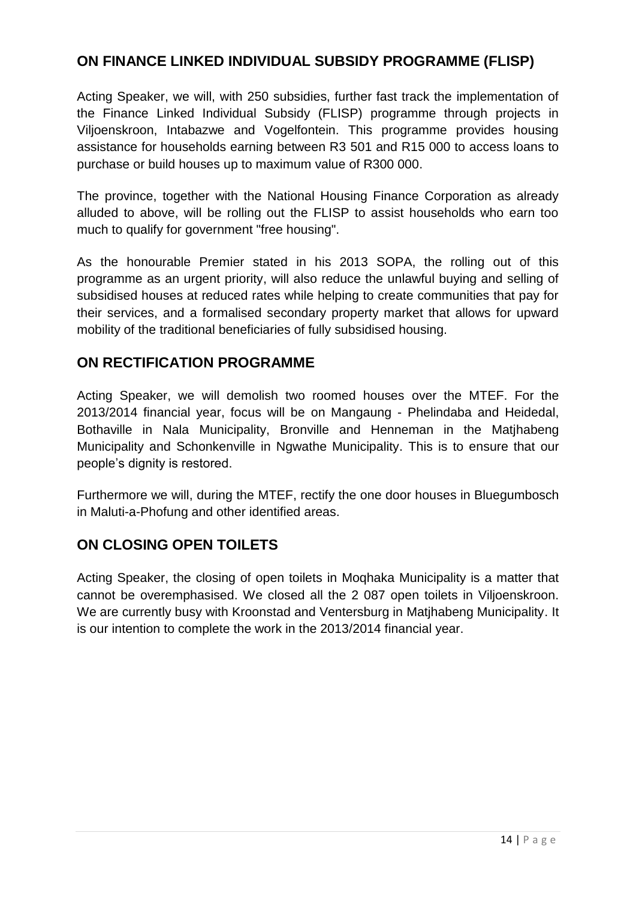#### **ON FINANCE LINKED INDIVIDUAL SUBSIDY PROGRAMME (FLISP)**

Acting Speaker, we will, with 250 subsidies, further fast track the implementation of the Finance Linked Individual Subsidy (FLISP) programme through projects in Viljoenskroon, Intabazwe and Vogelfontein. This programme provides housing assistance for households earning between R3 501 and R15 000 to access loans to purchase or build houses up to maximum value of R300 000.

The province, together with the National Housing Finance Corporation as already alluded to above, will be rolling out the FLISP to assist households who earn too much to qualify for government "free housing".

As the honourable Premier stated in his 2013 SOPA, the rolling out of this programme as an urgent priority, will also reduce the unlawful buying and selling of subsidised houses at reduced rates while helping to create communities that pay for their services, and a formalised secondary property market that allows for upward mobility of the traditional beneficiaries of fully subsidised housing.

#### **ON RECTIFICATION PROGRAMME**

Acting Speaker, we will demolish two roomed houses over the MTEF. For the 2013/2014 financial year, focus will be on Mangaung - Phelindaba and Heidedal, Bothaville in Nala Municipality, Bronville and Henneman in the Matjhabeng Municipality and Schonkenville in Ngwathe Municipality. This is to ensure that our people"s dignity is restored.

Furthermore we will, during the MTEF, rectify the one door houses in Bluegumbosch in Maluti-a-Phofung and other identified areas.

#### **ON CLOSING OPEN TOILETS**

Acting Speaker, the closing of open toilets in Moqhaka Municipality is a matter that cannot be overemphasised. We closed all the 2 087 open toilets in Viljoenskroon. We are currently busy with Kroonstad and Ventersburg in Matjhabeng Municipality. It is our intention to complete the work in the 2013/2014 financial year.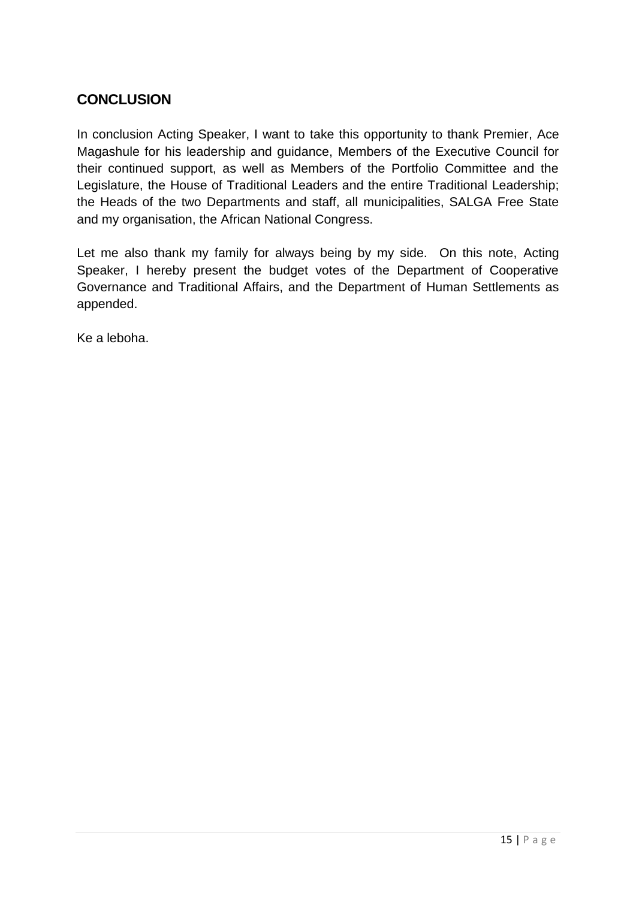#### **CONCLUSION**

In conclusion Acting Speaker, I want to take this opportunity to thank Premier, Ace Magashule for his leadership and guidance, Members of the Executive Council for their continued support, as well as Members of the Portfolio Committee and the Legislature, the House of Traditional Leaders and the entire Traditional Leadership; the Heads of the two Departments and staff, all municipalities, SALGA Free State and my organisation, the African National Congress.

Let me also thank my family for always being by my side. On this note, Acting Speaker, I hereby present the budget votes of the Department of Cooperative Governance and Traditional Affairs, and the Department of Human Settlements as appended.

Ke a leboha.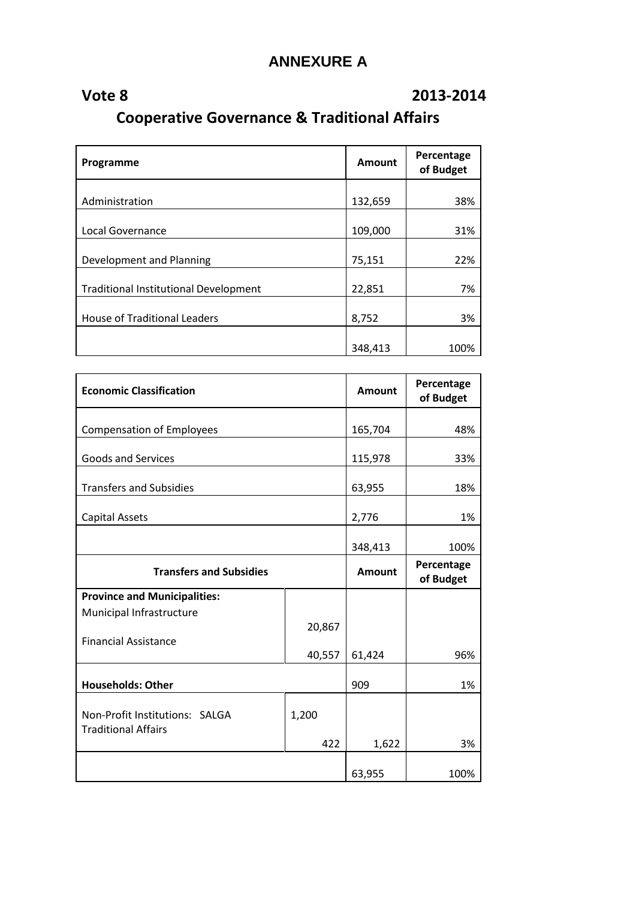# **ANNEXURE A**

## **Vote 8 2013-2014**

**Cooperative Governance & Traditional Affairs**

| Programme                                    | <b>Amount</b> | Percentage<br>of Budget |
|----------------------------------------------|---------------|-------------------------|
| Administration                               | 132,659       | 38%                     |
|                                              |               |                         |
| Local Governance                             | 109,000       | 31%                     |
| Development and Planning                     | 75,151        | 22%                     |
| <b>Traditional Institutional Development</b> | 22,851        | 7%                      |
| <b>House of Traditional Leaders</b>          | 8,752         | 3%                      |
|                                              | 348,413       | 100%                    |

| <b>Economic Classification</b>                               |        | Amount        | Percentage<br>of Budget |
|--------------------------------------------------------------|--------|---------------|-------------------------|
| <b>Compensation of Employees</b>                             |        | 165,704       | 48%                     |
| <b>Goods and Services</b>                                    |        | 115,978       | 33%                     |
| <b>Transfers and Subsidies</b>                               |        | 63,955        | 18%                     |
| <b>Capital Assets</b>                                        |        | 2,776         | 1%                      |
|                                                              |        | 348,413       | 100%                    |
| <b>Transfers and Subsidies</b>                               |        | <b>Amount</b> | Percentage<br>of Budget |
| <b>Province and Municipalities:</b>                          |        |               |                         |
| Municipal Infrastructure                                     |        |               |                         |
|                                                              | 20,867 |               |                         |
| <b>Financial Assistance</b>                                  | 40,557 | 61,424        | 96%                     |
|                                                              |        |               |                         |
| <b>Households: Other</b>                                     |        | 909           | 1%                      |
| Non-Profit Institutions: SALGA<br><b>Traditional Affairs</b> | 1,200  |               |                         |
|                                                              | 422    | 1,622         | 3%                      |
|                                                              |        | 63,955        | 100%                    |